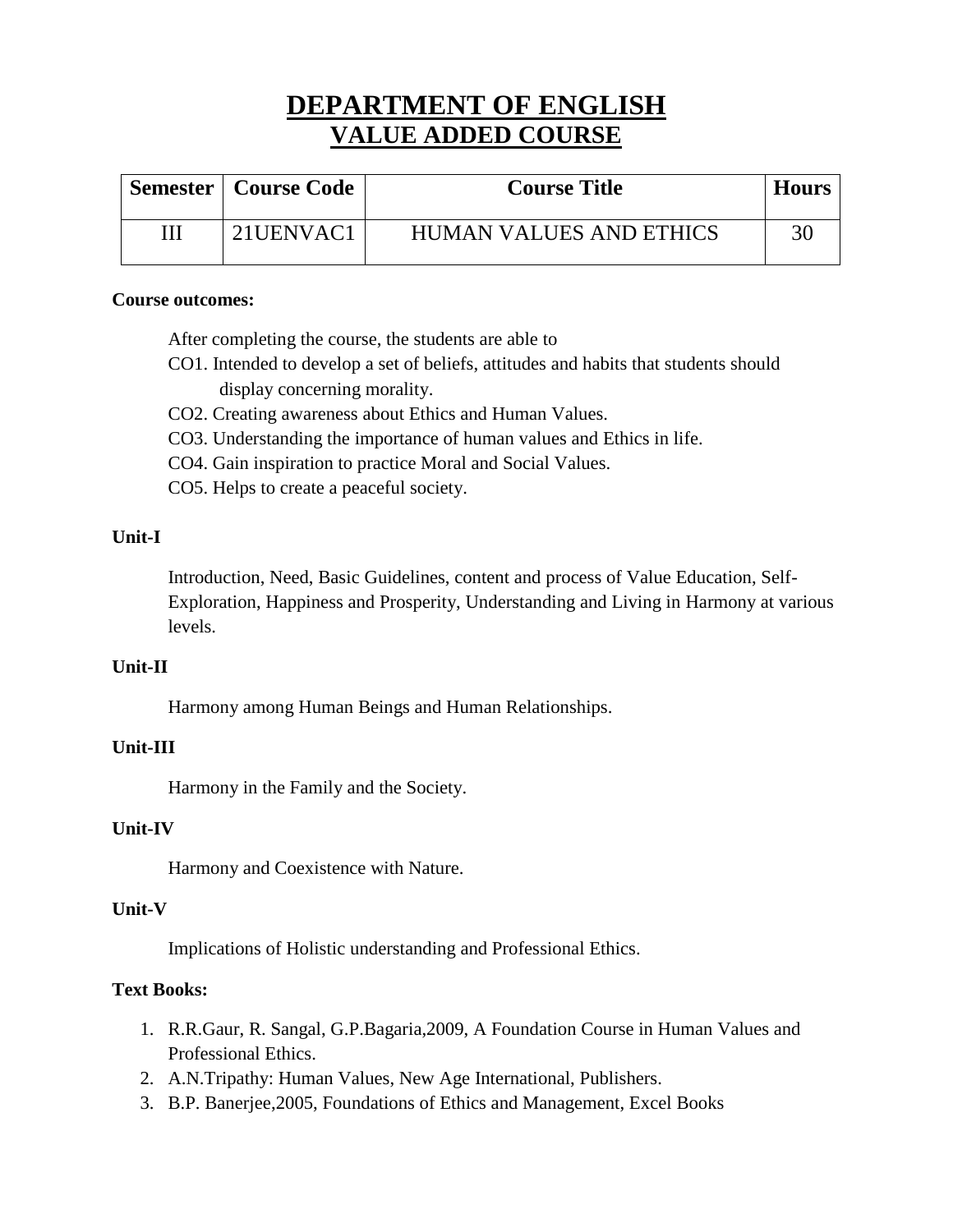# **DEPARTMENT OF ENGLISH VALUE ADDED COURSE**

| <b>Semester   Course Code</b> | <b>Course Title</b>            | <b>Hours</b> |
|-------------------------------|--------------------------------|--------------|
| 21UENVAC1                     | <b>HUMAN VALUES AND ETHICS</b> | 30           |

### **Course outcomes:**

After completing the course, the students are able to

- CO1. Intended to develop a set of beliefs, attitudes and habits that students should display concerning morality.
- CO2. Creating awareness about Ethics and Human Values.
- CO3. Understanding the importance of human values and Ethics in life.
- CO4. Gain inspiration to practice Moral and Social Values.
- CO5. Helps to create a peaceful society.

## **Unit-I**

Introduction, Need, Basic Guidelines, content and process of Value Education, Self-Exploration, Happiness and Prosperity, Understanding and Living in Harmony at various levels.

## **Unit-II**

Harmony among Human Beings and Human Relationships.

## **Unit-III**

Harmony in the Family and the Society.

# **Unit-IV**

Harmony and Coexistence with Nature.

## **Unit-V**

Implications of Holistic understanding and Professional Ethics.

# **Text Books:**

- 1. R.R.Gaur, R. Sangal, G.P.Bagaria,2009, A Foundation Course in Human Values and Professional Ethics.
- 2. A.N.Tripathy: Human Values, New Age International, Publishers.
- 3. B.P. Banerjee,2005, Foundations of Ethics and Management, Excel Books